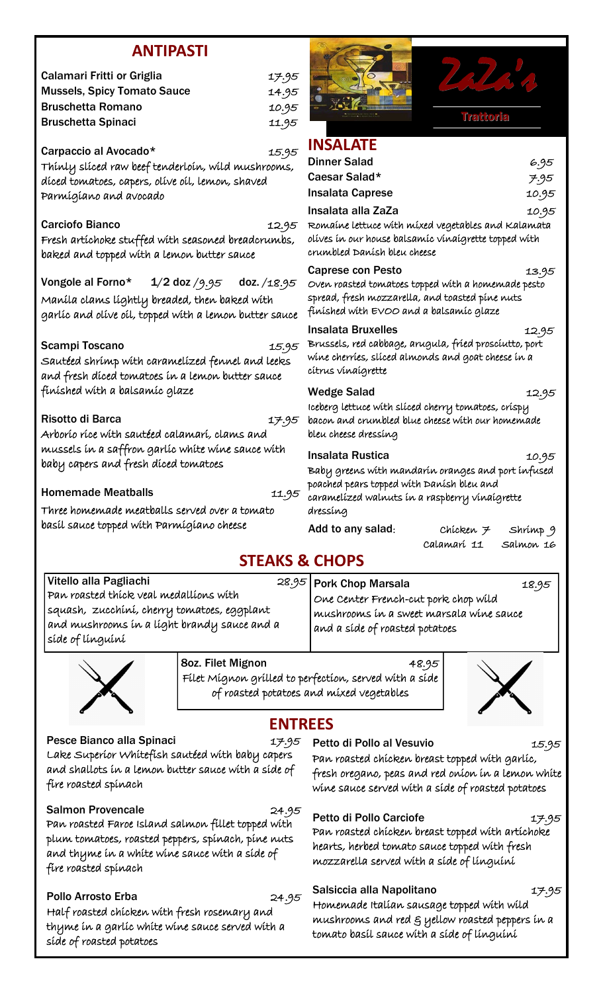### **ANTIPASTI**

| AN LIFAJ I I                                                                                                                                              |               |                                                                                                        |
|-----------------------------------------------------------------------------------------------------------------------------------------------------------|---------------|--------------------------------------------------------------------------------------------------------|
| Calamari Fritti or Griglia                                                                                                                                | 17.95         |                                                                                                        |
| <b>Mussels, Spicy Tomato Sauce</b>                                                                                                                        | 14.95         |                                                                                                        |
| <b>Bruschetta Romano</b>                                                                                                                                  | 10.95         |                                                                                                        |
| <b>Bruschetta Spinaci</b>                                                                                                                                 | 11.95         |                                                                                                        |
| Carpaccio al Avocado*<br>Thínly slíced raw beef tenderloín, wíld mushrooms,<br>díced tomatoes, capers, olíve oíl, lemon, shaved<br>Parmígíano and avocado | 15.95         | <b>INSALATE</b><br><b>Dinner Salad</b><br>Caesar Salad*<br>Insalata Caprese<br>Insalata alla ZaZa      |
| <b>Carciofo Bianco</b><br>Fresh artíchoke stuffed wíth seasoned breadcrumbs,<br>baked and topped with a lemon butter sauce                                | 12.95         | Romaine lettuce wit<br>olíves ín our house b<br>crumbled Danish blı                                    |
| Vongole al Forno*<br>$1/2$ doz $/9.95$<br>Maníla clams líghtly breaded, then baked wíth<br>garlíc and olíve oíl, topped wíth a lemon butter sauce         | doz. $/18.95$ | <b>Caprese con Peste</b><br>Oven roasted tomate<br>spread, fresh mozza<br>finished with $\epsilon$ voc |
| Scampi Toscano<br>Sautéed shrímp wíth caramelízed fennel and leeks<br>and fresh díced tomatoes ín a lemon butter sauce                                    | 15.95         | <b>Insalata Bruxelles</b><br>Brussels, red cabbaç<br>wine cherries, sliced<br>cítrus vinaígrette       |
| finíshed wíth a balsamíc glaze                                                                                                                            |               | <b>Wedge Salad</b><br>Iceberg lettuce with s                                                           |
| Risotto di Barca<br>Arborío ríce wíth sautéed calamarí, clams and<br>mussels in a saffron garlic white wine sauce with                                    | 17.95         | bacon and crumbled<br>bleu cheese dressing                                                             |
| baby capers and fresh díced tomatoes                                                                                                                      |               | Insalata Rustica<br>Baby greens with m<br>poached pears topped                                         |
| <b>Homemade Meatballs</b>                                                                                                                                 | 11.95         | caramelízed walnut                                                                                     |
| Three homemade meatballs served over a tomato<br>basíl sauce topped wíth Parmígíano cheese                                                                |               | dressing<br>Add to any salad:                                                                          |
|                                                                                                                                                           |               |                                                                                                        |



### **STEAKS & CHOPS**

Vitello alla Pagliachi 28.95 Pan roasted thick veal medallions with squash, zucchini, cherry tomatoes, eggplant and mushrooms in a light brandy sauce and a side of linguini



8oz. Filet Mignon and A8.95

Filet Mignon grilled to perfection, served with a side of roasted potatoes and mixed vegetables



Calamari 11 Salmon 16

### **ENTREES**

Pesce Bianco alla Spinaci 17.95 Lake Superior Whitefish sautéed with baby capers and shallots in a lemon butter sauce with a side of fire roasted spinach

Salmon Provencale 24.95 Pan roasted Faroe Island salmon fillet topped with plum tomatoes, roasted peppers, spinach, pine nuts and thyme in a white wine sauce with a side of fire roasted spinach

Pollo Arrosto Erba 24.95 Half roasted chicken with fresh rosemary and thyme in a garlic white wine sauce served with a side of roasted potatoes

Petto di Pollo al Vesuvio 15.95 Pan roasted chicken breast topped with garlic, fresh oregano, peas and red onion in a lemon white wine sauce served with a side of roasted potatoes

Pork Chop Marsala 18.95

One Center French-cut pork chop wild mushrooms in a sweet marsala wine sauce

and a side of roasted potatoes

Petto di Pollo Carciofe 17.95

Pan roasted chicken breast topped with artichoke hearts, herbed tomato sauce topped with fresh mozzarella served with a side of linguini

## Salsiccia alla Napolitano 17.95

Homemade Italian sausage topped with wild mushrooms and red & yellow roasted peppers in a tomato basil sauce with a side of linguini